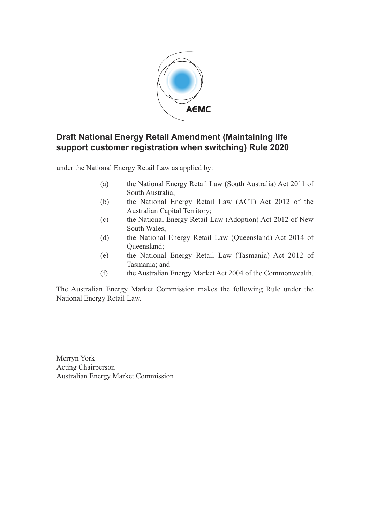

### **Draft National Energy Retail Amendment (Maintaining life support customer registration when switching) Rule 2020**

under the National Energy Retail Law as applied by:

- (a) the National Energy Retail Law (South Australia) Act 2011 of South Australia;
- (b) the National Energy Retail Law (ACT) Act 2012 of the Australian Capital Territory;
- (c) the National Energy Retail Law (Adoption) Act 2012 of New South Wales;
- (d) the National Energy Retail Law (Queensland) Act 2014 of Queensland;
- (e) the National Energy Retail Law (Tasmania) Act 2012 of Tasmania; and
- (f) the Australian Energy Market Act 2004 of the Commonwealth.

The Australian Energy Market Commission makes the following Rule under the National Energy Retail Law.

Merryn York Acting Chairperson Australian Energy Market Commission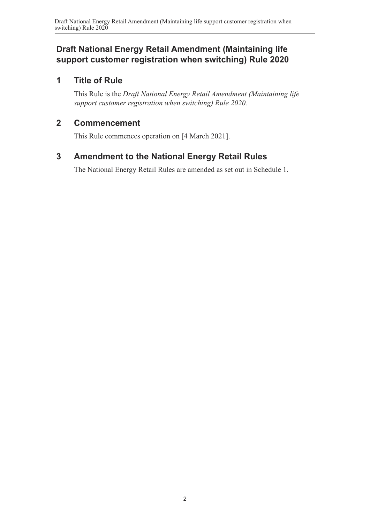### **Draft National Energy Retail Amendment (Maintaining life support customer registration when switching) Rule 2020**

#### **1 Title of Rule**

This Rule is the *Draft National Energy Retail Amendment (Maintaining life support customer registration when switching) Rule 2020.*

#### **2 Commencement**

This Rule commences operation on [4 March 2021].

## **3 Amendment to the National Energy Retail Rules**

<span id="page-1-0"></span>The National Energy Retail Rules are amended as set out in [Schedule 1.](#page-2-0)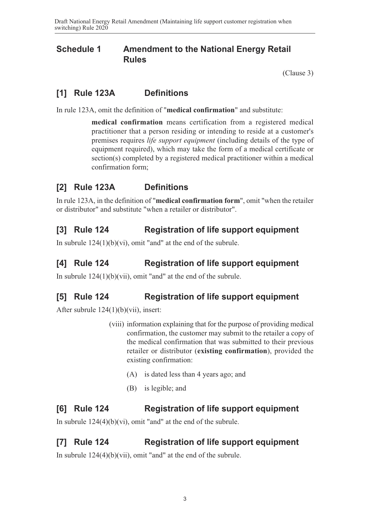#### **Schedule 1 Amendment to the National Energy Retail Rules**

<span id="page-2-0"></span>[\(Clause 3\)](#page-1-0)

## **[1] Rule 123A Definitions**

In rule 123A, omit the definition of "**medical confirmation**" and substitute:

**medical confirmation** means certification from a registered medical practitioner that a person residing or intending to reside at a customer's premises requires *life support equipment* (including details of the type of equipment required), which may take the form of a medical certificate or section(s) completed by a registered medical practitioner within a medical confirmation form;

## **[2] Rule 123A Definitions**

In rule 123A, in the definition of "**medical confirmation form**", omit "when the retailer or distributor" and substitute "when a retailer or distributor".

## **[3] Rule 124 Registration of life support equipment**

In subrule  $124(1)(b)(vi)$ , omit "and" at the end of the subrule.

## **[4] Rule 124 Registration of life support equipment**

In subrule 124(1)(b)(vii), omit "and" at the end of the subrule.

## **[5] Rule 124 Registration of life support equipment**

After subrule 124(1)(b)(vii), insert:

- (viii) information explaining that for the purpose of providing medical confirmation, the customer may submit to the retailer a copy of the medical confirmation that was submitted to their previous retailer or distributor (**existing confirmation**), provided the existing confirmation:
	- (A) is dated less than 4 years ago; and
	- (B) is legible; and

#### **[6] Rule 124 Registration of life support equipment**

In subrule 124(4)(b)(vi), omit "and" at the end of the subrule.

#### **[7] Rule 124 Registration of life support equipment**

In subrule 124(4)(b)(vii), omit "and" at the end of the subrule.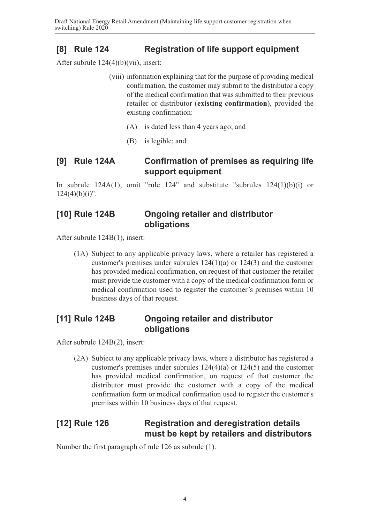# **[8] Rule 124 Registration of life support equipment**

After subrule 124(4)(b)(vii), insert:

- (viii) information explaining that for the purpose of providing medical confirmation, the customer may submit to the distributor a copy of the medical confirmation that was submitted to their previous retailer or distributor (**existing confirmation**), provided the existing confirmation:
	- (A) is dated less than 4 years ago; and
	- (B) is legible; and

### **[9] Rule 124A Confirmation of premises as requiring life support equipment**

In subrule  $124A(1)$ , omit "rule  $124$ " and substitute "subrules  $124(1)(b)(i)$  or  $124(4)(b)(i)$ ".

#### **[10] Rule 124B Ongoing retailer and distributor obligations**

After subrule 124B(1), insert:

(1A) Subject to any applicable privacy laws, where a retailer has registered a customer's premises under subrules 124(1)(a) or 124(3) and the customer has provided medical confirmation, on request of that customer the retailer must provide the customer with a copy of the medical confirmation form or medical confirmation used to register the customer's premises within 10 business days of that request.

### **[11] Rule 124B Ongoing retailer and distributor obligations**

After subrule 124B(2), insert:

(2A) Subject to any applicable privacy laws, where a distributor has registered a customer's premises under subrules 124(4)(a) or 124(5) and the customer has provided medical confirmation, on request of that customer the distributor must provide the customer with a copy of the medical confirmation form or medical confirmation used to register the customer's premises within 10 business days of that request.

#### **[12] Rule 126 Registration and deregistration details must be kept by retailers and distributors**

Number the first paragraph of rule 126 as subrule (1).